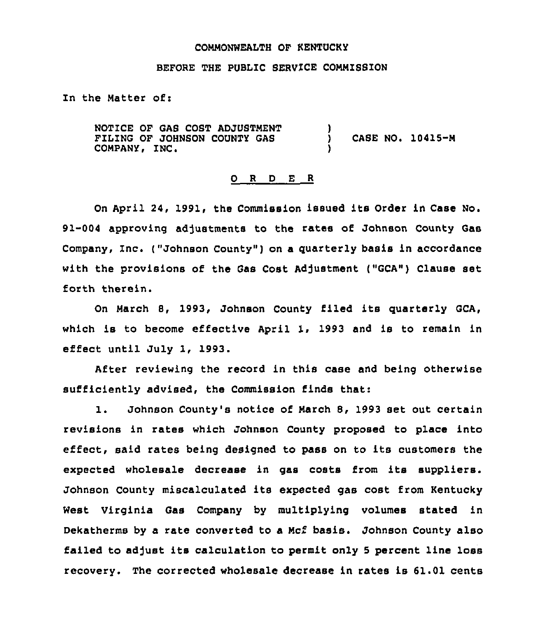### COMMONWEALTH OF KENTUCKY

## BEFORE THE PUBLIC SERVICE COMMISSION

In the Matter of:

NOTICE OF GAS COST ADJUSTMENT FILING OF JOHNSON COUNTY GAS COMPANY, INC. ) ) CASE NO. 10415-M )

### 0 <sup>R</sup> <sup>D</sup> E <sup>R</sup>

On April 24, 1991, the Commission issued its Order in Case No. 91-004 approving adjustments to the rates of Johnson County Gas Company, Inc. ("Johnson County" ) on <sup>a</sup> guarterly basis in accordance with the provisions of the Gas Cost Adjustment ("GCA") Clause set forth therein.

On March 8, 1993, Johnson County filed its guarterly GCA, which is to become effective April 1, 1993 and is to remain in effect until July 1, 1993.

After reviewing the record in this case and being otherwise sufficiently advised, the Commission finds that:

1. Johnson County's notice of March 8, 1993 set out certain revisions in rates which Johnson County proposed to place into effect, said rates being designed to pass on to its customers the expected wholesale decrease in gas costs from its suppliers. Johnson County miscalculated its expected gas cost from Kentucky West Virginia Gas Company by multiplying volumes stated in Dekatherms by a rate converted to a Mcf basis. Johnson County also failed to adjust its calculation to permit only <sup>5</sup> percent line loss recovery. The corrected wholesale decrease in rates is 61.01 cents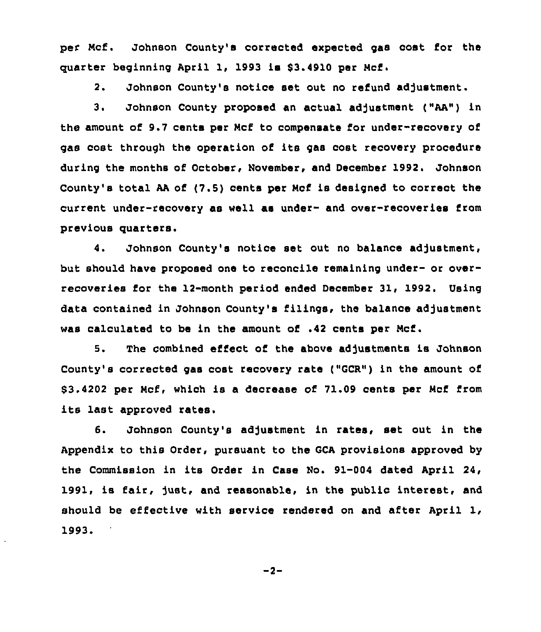per Ncf. Johnson County's corrected expected gas cost for the quarter beginning April 1, 1993 is \$3.4910 per Ncf.

2. Johnson County's notice set out no refund adjustment.

3. Johnson County proposed an actual adjustment ("AA") in the amount of 9.7 cents per Ncf to compensate for under-recovery of gas cost through the operation of its gas cost recovery procedure during the months of October, November, and December 1992. Johnson County's total AA of (7.5) cents per Ncf is designed to correct the current under-recovery as well as under- and over-recoveries from previous guarters.

4. Johnson County's notice set out no balance adjustment, but should have proposed one to reconcile remaining under- or overrecoveries for the 12-month period ended December 31, 1992. Using data contained in Johnson County's filings, the balance adjustment was calculated to be in the amount of .42 cents per Mcf.

5. The combined effect of the above adjustments is Johnson County's corrected gas cost recovery rate ("GCR") in the amount of \$3.4202 per Ncf, which is a decrease of 71.09 cents per Ncf from its last approved rates.

6. Johnson County's adjustment in rates, set out in the Appendix to this Order, pursuant to the GCA provisions approved by the Commission in its Order in Case No. 91-004 dated April 24, 1991, is fair, just, and reasonable, in the public interest, and should be effective with service rendered on and after April 1, 1993.

 $-2-$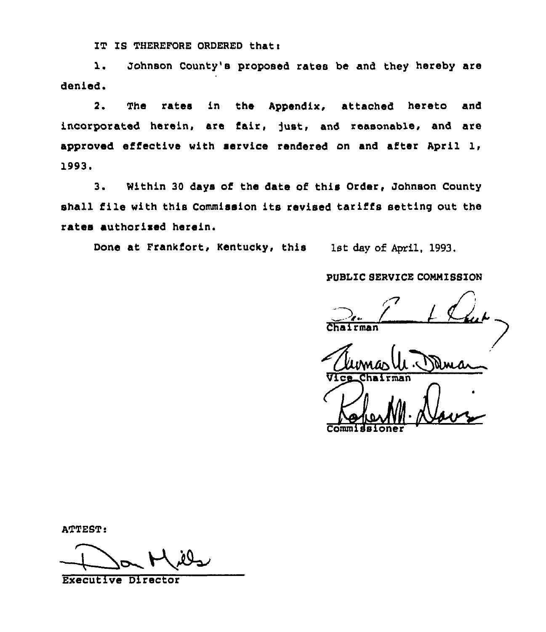IT IS THEREFORE ORDERED that:

1. Johnson County's proposed rates be and they hereby are denied.

2. The rates in the Appendix, attached hereto and incorporated herein, are fair, fust, and reasonable, and are approved effective with service rendered on and after April 1, l993.

3. Within <sup>30</sup> days of the date of this Order, Johnson County shall file with this Commission its revised tariffs setting out the rates authorised herein.

Done at Frankfort, Kentucky, this 1st day of April, 1993.

PUBLIC SERVICE COMMISSION

 $\overline{\text{Chain}}$ 1993.<br>DMMISSION<br><del>1 Ch</del>ul

Chairman<br>Ulumas U. Du

Commissione

ATTEST

Executive Director